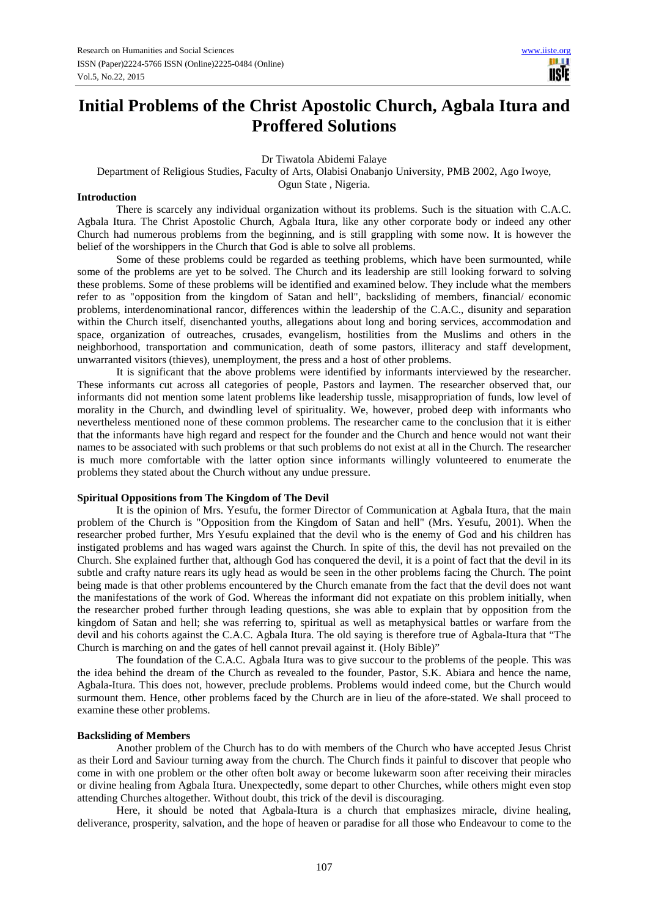usif

# **Initial Problems of the Christ Apostolic Church, Agbala Itura and Proffered Solutions**

Dr Tiwatola Abidemi Falaye

Department of Religious Studies, Faculty of Arts, Olabisi Onabanjo University, PMB 2002, Ago Iwoye,

Ogun State , Nigeria.

#### **Introduction**

There is scarcely any individual organization without its problems. Such is the situation with C.A.C. Agbala Itura. The Christ Apostolic Church, Agbala Itura, like any other corporate body or indeed any other Church had numerous problems from the beginning, and is still grappling with some now. It is however the belief of the worshippers in the Church that God is able to solve all problems.

Some of these problems could be regarded as teething problems, which have been surmounted, while some of the problems are yet to be solved. The Church and its leadership are still looking forward to solving these problems. Some of these problems will be identified and examined below. They include what the members refer to as "opposition from the kingdom of Satan and hell", backsliding of members, financial/ economic problems, interdenominational rancor, differences within the leadership of the C.A.C., disunity and separation within the Church itself, disenchanted youths, allegations about long and boring services, accommodation and space, organization of outreaches, crusades, evangelism, hostilities from the Muslims and others in the neighborhood, transportation and communication, death of some pastors, illiteracy and staff development, unwarranted visitors (thieves), unemployment, the press and a host of other problems.

It is significant that the above problems were identified by informants interviewed by the researcher. These informants cut across all categories of people, Pastors and laymen. The researcher observed that, our informants did not mention some latent problems like leadership tussle, misappropriation of funds, low level of morality in the Church, and dwindling level of spirituality. We, however, probed deep with informants who nevertheless mentioned none of these common problems. The researcher came to the conclusion that it is either that the informants have high regard and respect for the founder and the Church and hence would not want their names to be associated with such problems or that such problems do not exist at all in the Church. The researcher is much more comfortable with the latter option since informants willingly volunteered to enumerate the problems they stated about the Church without any undue pressure.

## **Spiritual Oppositions from The Kingdom of The Devil**

It is the opinion of Mrs. Yesufu, the former Director of Communication at Agbala Itura, that the main problem of the Church is "Opposition from the Kingdom of Satan and hell" (Mrs. Yesufu, 2001). When the researcher probed further, Mrs Yesufu explained that the devil who is the enemy of God and his children has instigated problems and has waged wars against the Church. In spite of this, the devil has not prevailed on the Church. She explained further that, although God has conquered the devil, it is a point of fact that the devil in its subtle and crafty nature rears its ugly head as would be seen in the other problems facing the Church. The point being made is that other problems encountered by the Church emanate from the fact that the devil does not want the manifestations of the work of God. Whereas the informant did not expatiate on this problem initially, when the researcher probed further through leading questions, she was able to explain that by opposition from the kingdom of Satan and hell; she was referring to, spiritual as well as metaphysical battles or warfare from the devil and his cohorts against the C.A.C. Agbala Itura. The old saying is therefore true of Agbala-Itura that "The Church is marching on and the gates of hell cannot prevail against it. (Holy Bible)"

The foundation of the C.A.C. Agbala Itura was to give succour to the problems of the people. This was the idea behind the dream of the Church as revealed to the founder, Pastor, S.K. Abiara and hence the name, Agbala-Itura. This does not, however, preclude problems. Problems would indeed come, but the Church would surmount them. Hence, other problems faced by the Church are in lieu of the afore-stated. We shall proceed to examine these other problems.

#### **Backsliding of Members**

 Another problem of the Church has to do with members of the Church who have accepted Jesus Christ as their Lord and Saviour turning away from the church. The Church finds it painful to discover that people who come in with one problem or the other often bolt away or become lukewarm soon after receiving their miracles or divine healing from Agbala Itura. Unexpectedly, some depart to other Churches, while others might even stop attending Churches altogether. Without doubt, this trick of the devil is discouraging.

 Here, it should be noted that Agbala-Itura is a church that emphasizes miracle, divine healing, deliverance, prosperity, salvation, and the hope of heaven or paradise for all those who Endeavour to come to the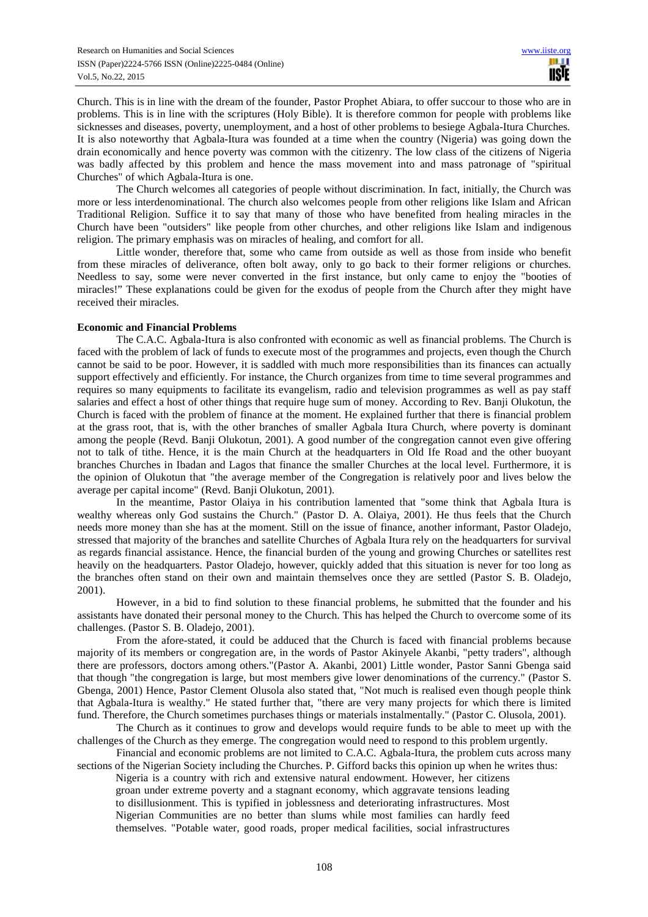Church. This is in line with the dream of the founder, Pastor Prophet Abiara, to offer succour to those who are in problems. This is in line with the scriptures (Holy Bible). It is therefore common for people with problems like sicknesses and diseases, poverty, unemployment, and a host of other problems to besiege Agbala-Itura Churches. It is also noteworthy that Agbala-Itura was founded at a time when the country (Nigeria) was going down the drain economically and hence poverty was common with the citizenry. The low class of the citizens of Nigeria was badly affected by this problem and hence the mass movement into and mass patronage of "spiritual Churches" of which Agbala-Itura is one.

The Church welcomes all categories of people without discrimination. In fact, initially, the Church was more or less interdenominational. The church also welcomes people from other religions like Islam and African Traditional Religion. Suffice it to say that many of those who have benefited from healing miracles in the Church have been "outsiders" like people from other churches, and other religions like Islam and indigenous religion. The primary emphasis was on miracles of healing, and comfort for all.

Little wonder, therefore that, some who came from outside as well as those from inside who benefit from these miracles of deliverance, often bolt away, only to go back to their former religions or churches. Needless to say, some were never converted in the first instance, but only came to enjoy the "booties of miracles!" These explanations could be given for the exodus of people from the Church after they might have received their miracles.

### **Economic and Financial Problems**

The C.A.C. Agbala-Itura is also confronted with economic as well as financial problems. The Church is faced with the problem of lack of funds to execute most of the programmes and projects, even though the Church cannot be said to be poor. However, it is saddled with much more responsibilities than its finances can actually support effectively and efficiently. For instance, the Church organizes from time to time several programmes and requires so many equipments to facilitate its evangelism, radio and television programmes as well as pay staff salaries and effect a host of other things that require huge sum of money. According to Rev. Banji Olukotun, the Church is faced with the problem of finance at the moment. He explained further that there is financial problem at the grass root, that is, with the other branches of smaller Agbala Itura Church, where poverty is dominant among the people (Revd. Banji Olukotun, 2001). A good number of the congregation cannot even give offering not to talk of tithe. Hence, it is the main Church at the headquarters in Old Ife Road and the other buoyant branches Churches in Ibadan and Lagos that finance the smaller Churches at the local level. Furthermore, it is the opinion of Olukotun that "the average member of the Congregation is relatively poor and lives below the average per capital income" (Revd. Banji Olukotun, 2001).

In the meantime, Pastor Olaiya in his contribution lamented that "some think that Agbala Itura is wealthy whereas only God sustains the Church." (Pastor D. A. Olaiya, 2001). He thus feels that the Church needs more money than she has at the moment. Still on the issue of finance, another informant, Pastor Oladejo, stressed that majority of the branches and satellite Churches of Agbala Itura rely on the headquarters for survival as regards financial assistance. Hence, the financial burden of the young and growing Churches or satellites rest heavily on the headquarters. Pastor Oladejo, however, quickly added that this situation is never for too long as the branches often stand on their own and maintain themselves once they are settled (Pastor S. B. Oladejo, 2001).

However, in a bid to find solution to these financial problems, he submitted that the founder and his assistants have donated their personal money to the Church. This has helped the Church to overcome some of its challenges. (Pastor S. B. Oladejo, 2001).

From the afore-stated, it could be adduced that the Church is faced with financial problems because majority of its members or congregation are, in the words of Pastor Akinyele Akanbi, "petty traders", although there are professors, doctors among others."(Pastor A. Akanbi, 2001) Little wonder, Pastor Sanni Gbenga said that though "the congregation is large, but most members give lower denominations of the currency." (Pastor S. Gbenga, 2001) Hence, Pastor Clement Olusola also stated that, "Not much is realised even though people think that Agbala-Itura is wealthy." He stated further that, "there are very many projects for which there is limited fund. Therefore, the Church sometimes purchases things or materials instalmentally." (Pastor C. Olusola, 2001).

The Church as it continues to grow and develops would require funds to be able to meet up with the challenges of the Church as they emerge. The congregation would need to respond to this problem urgently.

Financial and economic problems are not limited to C.A.C. Agbala-Itura, the problem cuts across many sections of the Nigerian Society including the Churches. P. Gifford backs this opinion up when he writes thus:

Nigeria is a country with rich and extensive natural endowment. However, her citizens groan under extreme poverty and a stagnant economy, which aggravate tensions leading to disillusionment. This is typified in joblessness and deteriorating infrastructures. Most Nigerian Communities are no better than slums while most families can hardly feed themselves. "Potable water, good roads, proper medical facilities, social infrastructures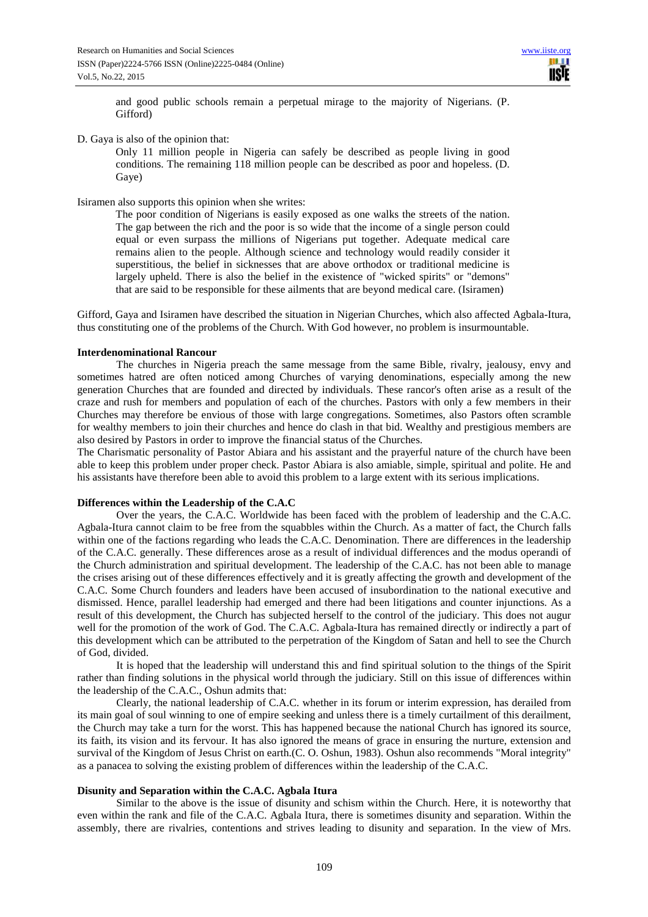and good public schools remain a perpetual mirage to the majority of Nigerians. (P. Gifford)

## D. Gaya is also of the opinion that:

Only 11 million people in Nigeria can safely be described as people living in good conditions. The remaining 118 million people can be described as poor and hopeless. (D. Gaye)

## Isiramen also supports this opinion when she writes:

The poor condition of Nigerians is easily exposed as one walks the streets of the nation. The gap between the rich and the poor is so wide that the income of a single person could equal or even surpass the millions of Nigerians put together. Adequate medical care remains alien to the people. Although science and technology would readily consider it superstitious, the belief in sicknesses that are above orthodox or traditional medicine is largely upheld. There is also the belief in the existence of "wicked spirits" or "demons" that are said to be responsible for these ailments that are beyond medical care. (Isiramen)

Gifford, Gaya and Isiramen have described the situation in Nigerian Churches, which also affected Agbala-Itura, thus constituting one of the problems of the Church. With God however, no problem is insurmountable.

## **Interdenominational Rancour**

The churches in Nigeria preach the same message from the same Bible, rivalry, jealousy, envy and sometimes hatred are often noticed among Churches of varying denominations, especially among the new generation Churches that are founded and directed by individuals. These rancor's often arise as a result of the craze and rush for members and population of each of the churches. Pastors with only a few members in their Churches may therefore be envious of those with large congregations. Sometimes, also Pastors often scramble for wealthy members to join their churches and hence do clash in that bid. Wealthy and prestigious members are also desired by Pastors in order to improve the financial status of the Churches.

The Charismatic personality of Pastor Abiara and his assistant and the prayerful nature of the church have been able to keep this problem under proper check. Pastor Abiara is also amiable, simple, spiritual and polite. He and his assistants have therefore been able to avoid this problem to a large extent with its serious implications.

#### **Differences within the Leadership of the C.A.C**

Over the years, the C.A.C. Worldwide has been faced with the problem of leadership and the C.A.C. Agbala-Itura cannot claim to be free from the squabbles within the Church. As a matter of fact, the Church falls within one of the factions regarding who leads the C.A.C. Denomination. There are differences in the leadership of the C.A.C. generally. These differences arose as a result of individual differences and the modus operandi of the Church administration and spiritual development. The leadership of the C.A.C. has not been able to manage the crises arising out of these differences effectively and it is greatly affecting the growth and development of the C.A.C. Some Church founders and leaders have been accused of insubordination to the national executive and dismissed. Hence, parallel leadership had emerged and there had been litigations and counter injunctions. As a result of this development, the Church has subjected herself to the control of the judiciary. This does not augur well for the promotion of the work of God. The C.A.C. Agbala-Itura has remained directly or indirectly a part of this development which can be attributed to the perpetration of the Kingdom of Satan and hell to see the Church of God, divided.

It is hoped that the leadership will understand this and find spiritual solution to the things of the Spirit rather than finding solutions in the physical world through the judiciary. Still on this issue of differences within the leadership of the C.A.C., Oshun admits that:

Clearly, the national leadership of C.A.C. whether in its forum or interim expression, has derailed from its main goal of soul winning to one of empire seeking and unless there is a timely curtailment of this derailment, the Church may take a turn for the worst. This has happened because the national Church has ignored its source, its faith, its vision and its fervour. It has also ignored the means of grace in ensuring the nurture, extension and survival of the Kingdom of Jesus Christ on earth.(C. O. Oshun, 1983). Oshun also recommends "Moral integrity" as a panacea to solving the existing problem of differences within the leadership of the C.A.C.

### **Disunity and Separation within the C.A.C. Agbala Itura**

Similar to the above is the issue of disunity and schism within the Church. Here, it is noteworthy that even within the rank and file of the C.A.C. Agbala Itura, there is sometimes disunity and separation. Within the assembly, there are rivalries, contentions and strives leading to disunity and separation. In the view of Mrs.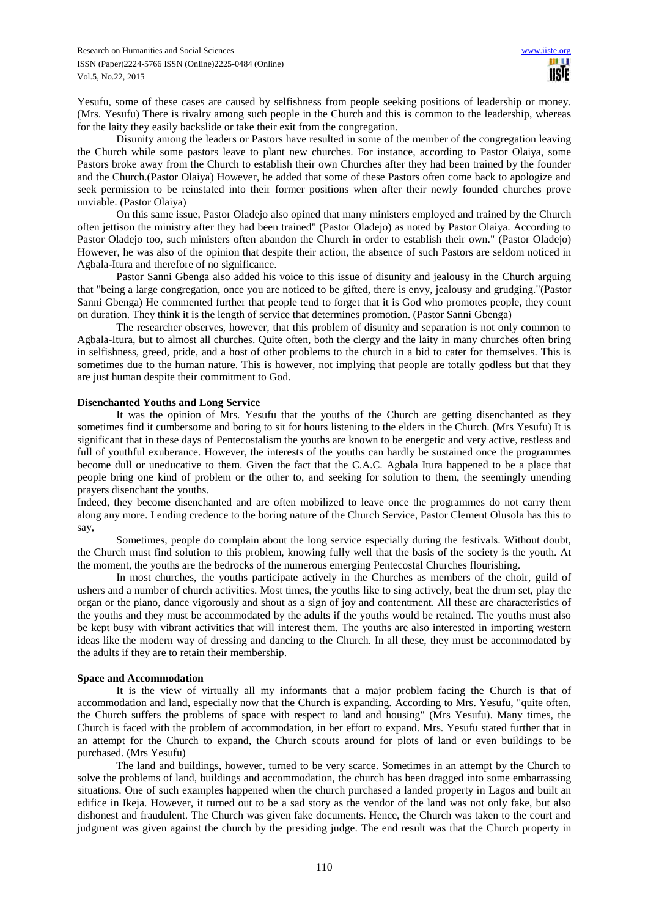Yesufu, some of these cases are caused by selfishness from people seeking positions of leadership or money. (Mrs. Yesufu) There is rivalry among such people in the Church and this is common to the leadership, whereas for the laity they easily backslide or take their exit from the congregation.

Disunity among the leaders or Pastors have resulted in some of the member of the congregation leaving the Church while some pastors leave to plant new churches. For instance, according to Pastor Olaiya, some Pastors broke away from the Church to establish their own Churches after they had been trained by the founder and the Church.(Pastor Olaiya) However, he added that some of these Pastors often come back to apologize and seek permission to be reinstated into their former positions when after their newly founded churches prove unviable. (Pastor Olaiya)

On this same issue, Pastor Oladejo also opined that many ministers employed and trained by the Church often jettison the ministry after they had been trained" (Pastor Oladejo) as noted by Pastor Olaiya. According to Pastor Oladejo too, such ministers often abandon the Church in order to establish their own." (Pastor Oladejo) However, he was also of the opinion that despite their action, the absence of such Pastors are seldom noticed in Agbala-Itura and therefore of no significance.

Pastor Sanni Gbenga also added his voice to this issue of disunity and jealousy in the Church arguing that "being a large congregation, once you are noticed to be gifted, there is envy, jealousy and grudging."(Pastor Sanni Gbenga) He commented further that people tend to forget that it is God who promotes people, they count on duration. They think it is the length of service that determines promotion. (Pastor Sanni Gbenga)

The researcher observes, however, that this problem of disunity and separation is not only common to Agbala-Itura, but to almost all churches. Quite often, both the clergy and the laity in many churches often bring in selfishness, greed, pride, and a host of other problems to the church in a bid to cater for themselves. This is sometimes due to the human nature. This is however, not implying that people are totally godless but that they are just human despite their commitment to God.

## **Disenchanted Youths and Long Service**

It was the opinion of Mrs. Yesufu that the youths of the Church are getting disenchanted as they sometimes find it cumbersome and boring to sit for hours listening to the elders in the Church. (Mrs Yesufu) It is significant that in these days of Pentecostalism the youths are known to be energetic and very active, restless and full of youthful exuberance. However, the interests of the youths can hardly be sustained once the programmes become dull or uneducative to them. Given the fact that the C.A.C. Agbala Itura happened to be a place that people bring one kind of problem or the other to, and seeking for solution to them, the seemingly unending prayers disenchant the youths.

Indeed, they become disenchanted and are often mobilized to leave once the programmes do not carry them along any more. Lending credence to the boring nature of the Church Service, Pastor Clement Olusola has this to say,

Sometimes, people do complain about the long service especially during the festivals. Without doubt, the Church must find solution to this problem, knowing fully well that the basis of the society is the youth. At the moment, the youths are the bedrocks of the numerous emerging Pentecostal Churches flourishing.

 In most churches, the youths participate actively in the Churches as members of the choir, guild of ushers and a number of church activities. Most times, the youths like to sing actively, beat the drum set, play the organ or the piano, dance vigorously and shout as a sign of joy and contentment. All these are characteristics of the youths and they must be accommodated by the adults if the youths would be retained. The youths must also be kept busy with vibrant activities that will interest them. The youths are also interested in importing western ideas like the modern way of dressing and dancing to the Church. In all these, they must be accommodated by the adults if they are to retain their membership.

## **Space and Accommodation**

It is the view of virtually all my informants that a major problem facing the Church is that of accommodation and land, especially now that the Church is expanding. According to Mrs. Yesufu, "quite often, the Church suffers the problems of space with respect to land and housing" (Mrs Yesufu). Many times, the Church is faced with the problem of accommodation, in her effort to expand. Mrs. Yesufu stated further that in an attempt for the Church to expand, the Church scouts around for plots of land or even buildings to be purchased. (Mrs Yesufu)

The land and buildings, however, turned to be very scarce. Sometimes in an attempt by the Church to solve the problems of land, buildings and accommodation, the church has been dragged into some embarrassing situations. One of such examples happened when the church purchased a landed property in Lagos and built an edifice in Ikeja. However, it turned out to be a sad story as the vendor of the land was not only fake, but also dishonest and fraudulent. The Church was given fake documents. Hence, the Church was taken to the court and judgment was given against the church by the presiding judge. The end result was that the Church property in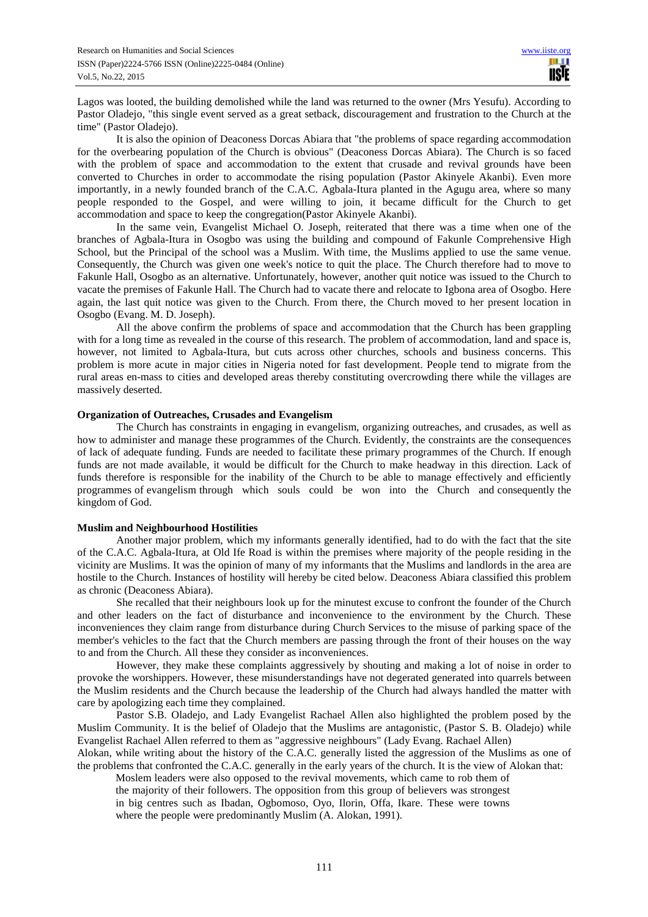Lagos was looted, the building demolished while the land was returned to the owner (Mrs Yesufu). According to Pastor Oladejo, "this single event served as a great setback, discouragement and frustration to the Church at the time" (Pastor Oladejo).

It is also the opinion of Deaconess Dorcas Abiara that "the problems of space regarding accommodation for the overbearing population of the Church is obvious" (Deaconess Dorcas Abiara). The Church is so faced with the problem of space and accommodation to the extent that crusade and revival grounds have been converted to Churches in order to accommodate the rising population (Pastor Akinyele Akanbi). Even more importantly, in a newly founded branch of the C.A.C. Agbala-Itura planted in the Agugu area, where so many people responded to the Gospel, and were willing to join, it became difficult for the Church to get accommodation and space to keep the congregation(Pastor Akinyele Akanbi).

In the same vein, Evangelist Michael O. Joseph, reiterated that there was a time when one of the branches of Agbala-Itura in Osogbo was using the building and compound of Fakunle Comprehensive High School, but the Principal of the school was a Muslim. With time, the Muslims applied to use the same venue. Consequently, the Church was given one week's notice to quit the place. The Church therefore had to move to Fakunle Hall, Osogbo as an alternative. Unfortunately, however, another quit notice was issued to the Church to vacate the premises of Fakunle Hall. The Church had to vacate there and relocate to Igbona area of Osogbo. Here again, the last quit notice was given to the Church. From there, the Church moved to her present location in Osogbo (Evang. M. D. Joseph).

All the above confirm the problems of space and accommodation that the Church has been grappling with for a long time as revealed in the course of this research. The problem of accommodation, land and space is, however, not limited to Agbala-Itura, but cuts across other churches, schools and business concerns. This problem is more acute in major cities in Nigeria noted for fast development. People tend to migrate from the rural areas en-mass to cities and developed areas thereby constituting overcrowding there while the villages are massively deserted.

## **Organization of Outreaches, Crusades and Evangelism**

The Church has constraints in engaging in evangelism, organizing outreaches, and crusades, as well as how to administer and manage these programmes of the Church. Evidently, the constraints are the consequences of lack of adequate funding. Funds are needed to facilitate these primary programmes of the Church. If enough funds are not made available, it would be difficult for the Church to make headway in this direction. Lack of funds therefore is responsible for the inability of the Church to be able to manage effectively and efficiently programmes of evangelism through which souls could be won into the Church and consequently the kingdom of God.

#### **Muslim and Neighbourhood Hostilities**

Another major problem, which my informants generally identified, had to do with the fact that the site of the C.A.C. Agbala-Itura, at Old Ife Road is within the premises where majority of the people residing in the vicinity are Muslims. It was the opinion of many of my informants that the Muslims and landlords in the area are hostile to the Church. Instances of hostility will hereby be cited below. Deaconess Abiara classified this problem as chronic (Deaconess Abiara).

 She recalled that their neighbours look up for the minutest excuse to confront the founder of the Church and other leaders on the fact of disturbance and inconvenience to the environment by the Church. These inconveniences they claim range from disturbance during Church Services to the misuse of parking space of the member's vehicles to the fact that the Church members are passing through the front of their houses on the way to and from the Church. All these they consider as inconveniences.

 However, they make these complaints aggressively by shouting and making a lot of noise in order to provoke the worshippers. However, these misunderstandings have not degerated generated into quarrels between the Muslim residents and the Church because the leadership of the Church had always handled the matter with care by apologizing each time they complained.

Pastor S.B. Oladejo, and Lady Evangelist Rachael Allen also highlighted the problem posed by the Muslim Community. It is the belief of Oladejo that the Muslims are antagonistic, (Pastor S. B. Oladejo) while Evangelist Rachael Allen referred to them as "aggressive neighbours" (Lady Evang. Rachael Allen)

Alokan, while writing about the history of the C.A.C. generally listed the aggression of the Muslims as one of the problems that confronted the C.A.C. generally in the early years of the church. It is the view of Alokan that: Moslem leaders were also opposed to the revival movements, which came to rob them of

the majority of their followers. The opposition from this group of believers was strongest in big centres such as Ibadan, Ogbomoso, Oyo, Ilorin, Offa, Ikare. These were towns where the people were predominantly Muslim (A. Alokan, 1991).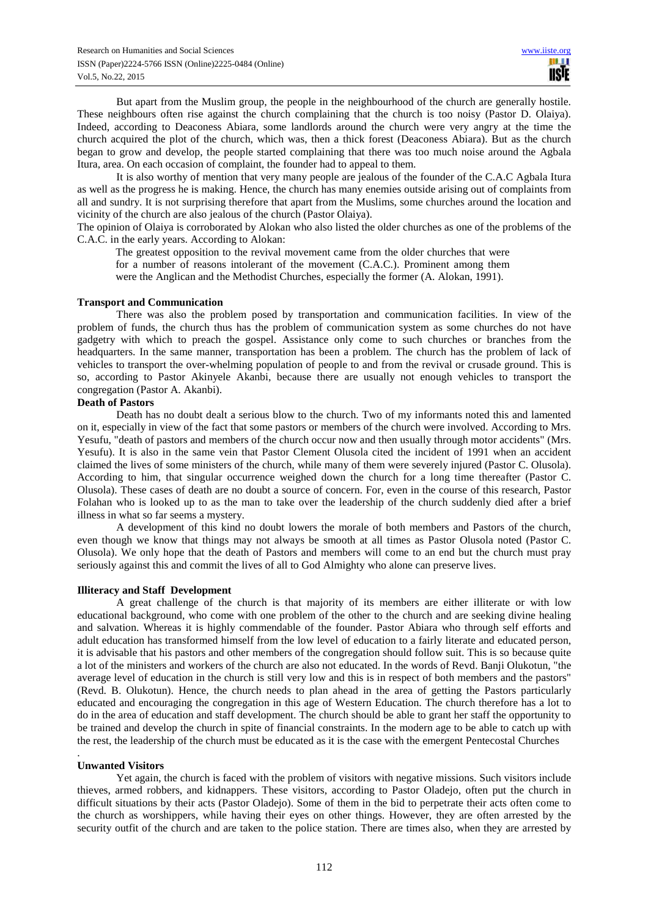But apart from the Muslim group, the people in the neighbourhood of the church are generally hostile. These neighbours often rise against the church complaining that the church is too noisy (Pastor D. Olaiya). Indeed, according to Deaconess Abiara, some landlords around the church were very angry at the time the church acquired the plot of the church, which was, then a thick forest (Deaconess Abiara). But as the church began to grow and develop, the people started complaining that there was too much noise around the Agbala Itura, area. On each occasion of complaint, the founder had to appeal to them.

 It is also worthy of mention that very many people are jealous of the founder of the C.A.C Agbala Itura as well as the progress he is making. Hence, the church has many enemies outside arising out of complaints from all and sundry. It is not surprising therefore that apart from the Muslims, some churches around the location and vicinity of the church are also jealous of the church (Pastor Olaiya).

The opinion of Olaiya is corroborated by Alokan who also listed the older churches as one of the problems of the C.A.C. in the early years. According to Alokan:

The greatest opposition to the revival movement came from the older churches that were for a number of reasons intolerant of the movement (C.A.C.). Prominent among them were the Anglican and the Methodist Churches, especially the former (A. Alokan, 1991).

### **Transport and Communication**

There was also the problem posed by transportation and communication facilities. In view of the problem of funds, the church thus has the problem of communication system as some churches do not have gadgetry with which to preach the gospel. Assistance only come to such churches or branches from the headquarters. In the same manner, transportation has been a problem. The church has the problem of lack of vehicles to transport the over-whelming population of people to and from the revival or crusade ground. This is so, according to Pastor Akinyele Akanbi, because there are usually not enough vehicles to transport the congregation (Pastor A. Akanbi).

## **Death of Pastors**

Death has no doubt dealt a serious blow to the church. Two of my informants noted this and lamented on it, especially in view of the fact that some pastors or members of the church were involved. According to Mrs. Yesufu, "death of pastors and members of the church occur now and then usually through motor accidents" (Mrs. Yesufu). It is also in the same vein that Pastor Clement Olusola cited the incident of 1991 when an accident claimed the lives of some ministers of the church, while many of them were severely injured (Pastor C. Olusola). According to him, that singular occurrence weighed down the church for a long time thereafter (Pastor C. Olusola). These cases of death are no doubt a source of concern. For, even in the course of this research, Pastor Folahan who is looked up to as the man to take over the leadership of the church suddenly died after a brief illness in what so far seems a mystery.

A development of this kind no doubt lowers the morale of both members and Pastors of the church, even though we know that things may not always be smooth at all times as Pastor Olusola noted (Pastor C. Olusola). We only hope that the death of Pastors and members will come to an end but the church must pray seriously against this and commit the lives of all to God Almighty who alone can preserve lives.

#### **Illiteracy and Staff Development**

A great challenge of the church is that majority of its members are either illiterate or with low educational background, who come with one problem of the other to the church and are seeking divine healing and salvation. Whereas it is highly commendable of the founder. Pastor Abiara who through self efforts and adult education has transformed himself from the low level of education to a fairly literate and educated person, it is advisable that his pastors and other members of the congregation should follow suit. This is so because quite a lot of the ministers and workers of the church are also not educated. In the words of Revd. Banji Olukotun, "the average level of education in the church is still very low and this is in respect of both members and the pastors" (Revd. B. Olukotun). Hence, the church needs to plan ahead in the area of getting the Pastors particularly educated and encouraging the congregation in this age of Western Education. The church therefore has a lot to do in the area of education and staff development. The church should be able to grant her staff the opportunity to be trained and develop the church in spite of financial constraints. In the modern age to be able to catch up with the rest, the leadership of the church must be educated as it is the case with the emergent Pentecostal Churches

#### **Unwanted Visitors**

.

Yet again, the church is faced with the problem of visitors with negative missions. Such visitors include thieves, armed robbers, and kidnappers. These visitors, according to Pastor Oladejo, often put the church in difficult situations by their acts (Pastor Oladejo). Some of them in the bid to perpetrate their acts often come to the church as worshippers, while having their eyes on other things. However, they are often arrested by the security outfit of the church and are taken to the police station. There are times also, when they are arrested by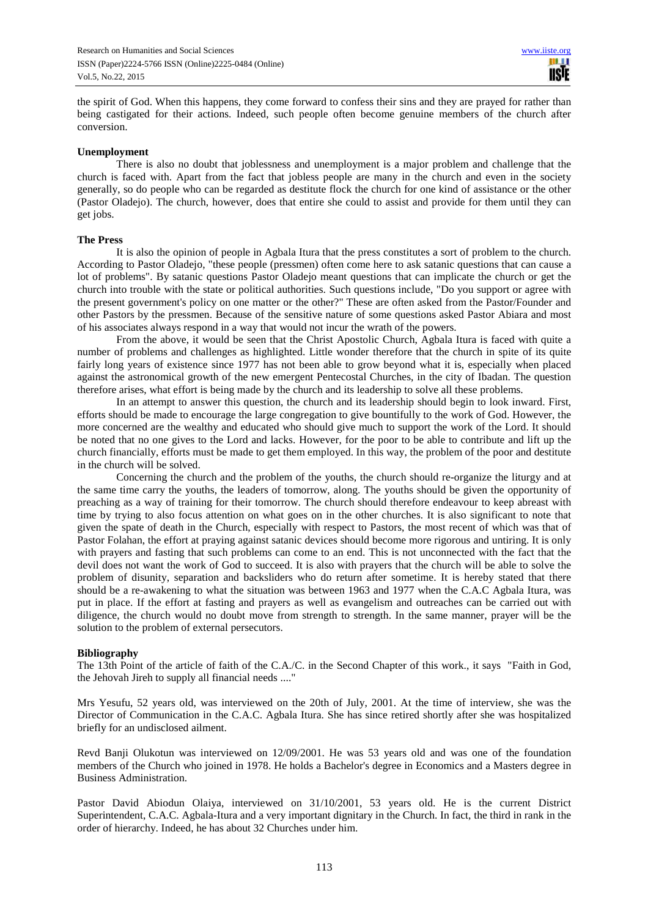the spirit of God. When this happens, they come forward to confess their sins and they are prayed for rather than being castigated for their actions. Indeed, such people often become genuine members of the church after conversion.

### **Unemployment**

There is also no doubt that joblessness and unemployment is a major problem and challenge that the church is faced with. Apart from the fact that jobless people are many in the church and even in the society generally, so do people who can be regarded as destitute flock the church for one kind of assistance or the other (Pastor Oladejo). The church, however, does that entire she could to assist and provide for them until they can get jobs.

## **The Press**

It is also the opinion of people in Agbala Itura that the press constitutes a sort of problem to the church. According to Pastor Oladejo, "these people (pressmen) often come here to ask satanic questions that can cause a lot of problems". By satanic questions Pastor Oladejo meant questions that can implicate the church or get the church into trouble with the state or political authorities. Such questions include, "Do you support or agree with the present government's policy on one matter or the other?" These are often asked from the Pastor/Founder and other Pastors by the pressmen. Because of the sensitive nature of some questions asked Pastor Abiara and most of his associates always respond in a way that would not incur the wrath of the powers.

From the above, it would be seen that the Christ Apostolic Church, Agbala Itura is faced with quite a number of problems and challenges as highlighted. Little wonder therefore that the church in spite of its quite fairly long years of existence since 1977 has not been able to grow beyond what it is, especially when placed against the astronomical growth of the new emergent Pentecostal Churches, in the city of Ibadan. The question therefore arises, what effort is being made by the church and its leadership to solve all these problems.

In an attempt to answer this question, the church and its leadership should begin to look inward. First, efforts should be made to encourage the large congregation to give bountifully to the work of God. However, the more concerned are the wealthy and educated who should give much to support the work of the Lord. It should be noted that no one gives to the Lord and lacks. However, for the poor to be able to contribute and lift up the church financially, efforts must be made to get them employed. In this way, the problem of the poor and destitute in the church will be solved.

Concerning the church and the problem of the youths, the church should re-organize the liturgy and at the same time carry the youths, the leaders of tomorrow, along. The youths should be given the opportunity of preaching as a way of training for their tomorrow. The church should therefore endeavour to keep abreast with time by trying to also focus attention on what goes on in the other churches. It is also significant to note that given the spate of death in the Church, especially with respect to Pastors, the most recent of which was that of Pastor Folahan, the effort at praying against satanic devices should become more rigorous and untiring. It is only with prayers and fasting that such problems can come to an end. This is not unconnected with the fact that the devil does not want the work of God to succeed. It is also with prayers that the church will be able to solve the problem of disunity, separation and backsliders who do return after sometime. It is hereby stated that there should be a re-awakening to what the situation was between 1963 and 1977 when the C.A.C Agbala Itura, was put in place. If the effort at fasting and prayers as well as evangelism and outreaches can be carried out with diligence, the church would no doubt move from strength to strength. In the same manner, prayer will be the solution to the problem of external persecutors.

## **Bibliography**

The 13th Point of the article of faith of the C.A./C. in the Second Chapter of this work., it says "Faith in God, the Jehovah Jireh to supply all financial needs ...."

Mrs Yesufu, 52 years old, was interviewed on the 20th of July, 2001. At the time of interview, she was the Director of Communication in the C.A.C. Agbala Itura. She has since retired shortly after she was hospitalized briefly for an undisclosed ailment.

Revd Banji Olukotun was interviewed on 12/09/2001. He was 53 years old and was one of the foundation members of the Church who joined in 1978. He holds a Bachelor's degree in Economics and a Masters degree in Business Administration.

Pastor David Abiodun Olaiya, interviewed on 31/10/2001, 53 years old. He is the current District Superintendent, C.A.C. Agbala-Itura and a very important dignitary in the Church. In fact, the third in rank in the order of hierarchy. Indeed, he has about 32 Churches under him.